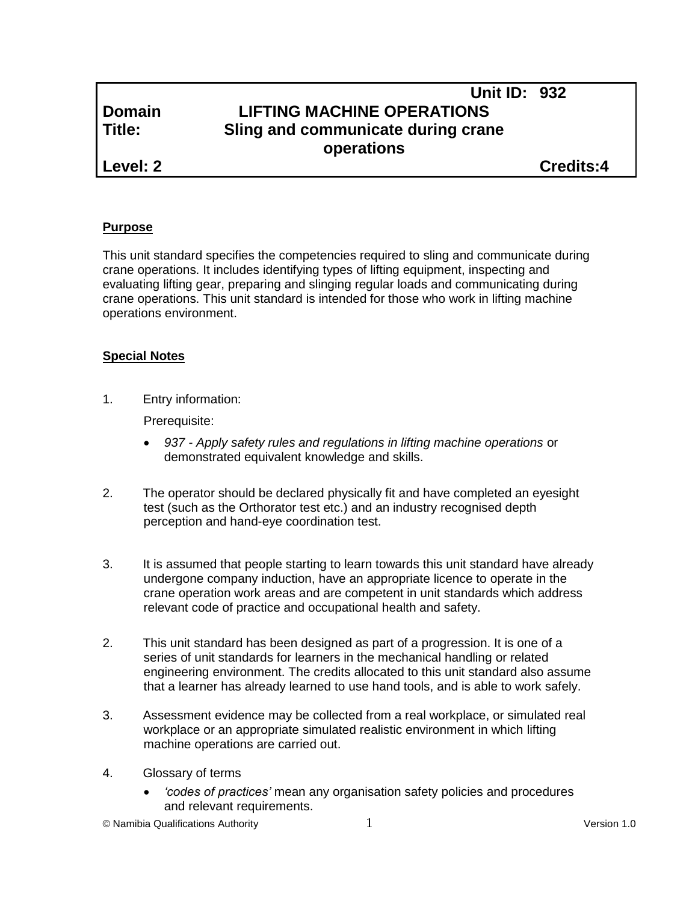# **Unit ID: 932 Domain LIFTING MACHINE OPERATIONS Title: Sling and communicate during crane operations**

**Level: 2 Credits:4**

## **Purpose**

This unit standard specifies the competencies required to sling and communicate during crane operations. It includes identifying types of lifting equipment, inspecting and evaluating lifting gear, preparing and slinging regular loads and communicating during crane operations. This unit standard is intended for those who work in lifting machine operations environment.

# **Special Notes**

1. Entry information:

Prerequisite:

- *937 - Apply safety rules and regulations in lifting machine operations* or demonstrated equivalent knowledge and skills.
- 2. The operator should be declared physically fit and have completed an eyesight test (such as the Orthorator test etc.) and an industry recognised depth perception and hand-eye coordination test.
- 3. It is assumed that people starting to learn towards this unit standard have already undergone company induction, have an appropriate licence to operate in the crane operation work areas and are competent in unit standards which address relevant code of practice and occupational health and safety.
- 2. This unit standard has been designed as part of a progression. It is one of a series of unit standards for learners in the mechanical handling or related engineering environment. The credits allocated to this unit standard also assume that a learner has already learned to use hand tools, and is able to work safely.
- 3. Assessment evidence may be collected from a real workplace, or simulated real workplace or an appropriate simulated realistic environment in which lifting machine operations are carried out.
- 4. Glossary of terms
	- *'codes of practices'* mean any organisation safety policies and procedures and relevant requirements.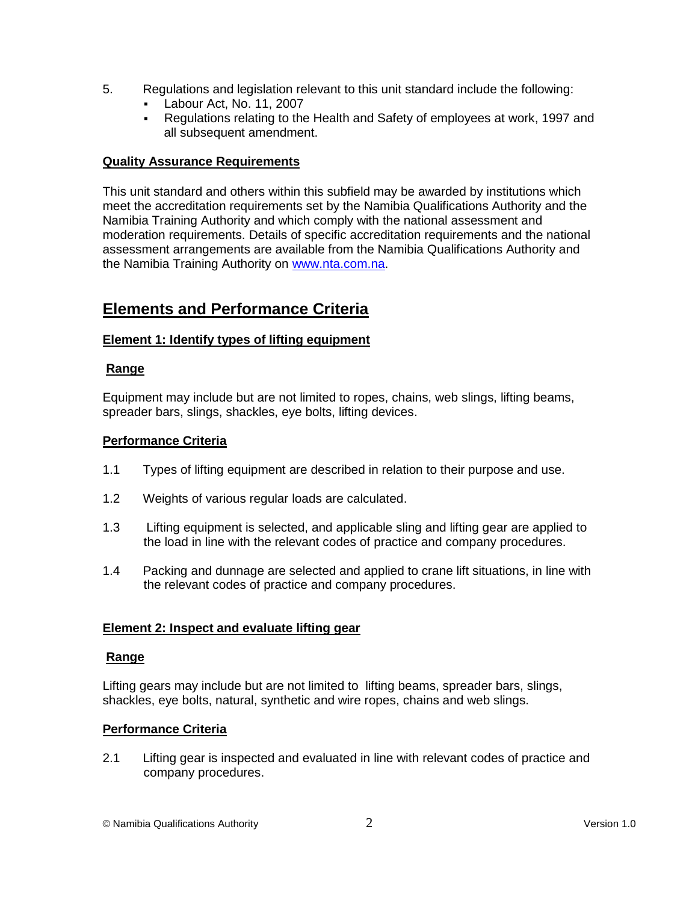- 5. Regulations and legislation relevant to this unit standard include the following:
	- Labour Act, No. 11, 2007
	- Regulations relating to the Health and Safety of employees at work, 1997 and all subsequent amendment.

## **Quality Assurance Requirements**

This unit standard and others within this subfield may be awarded by institutions which meet the accreditation requirements set by the Namibia Qualifications Authority and the Namibia Training Authority and which comply with the national assessment and moderation requirements. Details of specific accreditation requirements and the national assessment arrangements are available from the Namibia Qualifications Authority and the Namibia Training Authority on [www.nta.com.na.](http://www.nta.com.na/)

# **Elements and Performance Criteria**

## **Element 1: Identify types of lifting equipment**

## **Range**

Equipment may include but are not limited to ropes, chains, web slings, lifting beams, spreader bars, slings, shackles, eye bolts, lifting devices.

## **Performance Criteria**

- 1.1 Types of lifting equipment are described in relation to their purpose and use.
- 1.2 Weights of various regular loads are calculated.
- 1.3 Lifting equipment is selected, and applicable sling and lifting gear are applied to the load in line with the relevant codes of practice and company procedures.
- 1.4 Packing and dunnage are selected and applied to crane lift situations, in line with the relevant codes of practice and company procedures.

#### **Element 2: Inspect and evaluate lifting gear**

#### **Range**

Lifting gears may include but are not limited to lifting beams, spreader bars, slings, shackles, eye bolts, natural, synthetic and wire ropes, chains and web slings.

## **Performance Criteria**

2.1 Lifting gear is inspected and evaluated in line with relevant codes of practice and company procedures.